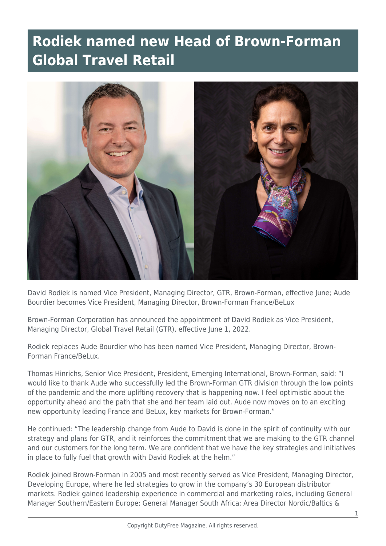## **Rodiek named new Head of Brown-Forman Global Travel Retail**



David Rodiek is named Vice President, Managing Director, GTR, Brown-Forman, effective June; Aude Bourdier becomes Vice President, Managing Director, Brown-Forman France/BeLux

Brown-Forman Corporation has announced the appointment of David Rodiek as Vice President, Managing Director, Global Travel Retail (GTR), effective June 1, 2022.

Rodiek replaces Aude Bourdier who has been named Vice President, Managing Director, Brown-Forman France/BeLux.

Thomas Hinrichs, Senior Vice President, President, Emerging International, Brown-Forman, said: "I would like to thank Aude who successfully led the Brown-Forman GTR division through the low points of the pandemic and the more uplifting recovery that is happening now. I feel optimistic about the opportunity ahead and the path that she and her team laid out. Aude now moves on to an exciting new opportunity leading France and BeLux, key markets for Brown-Forman."

He continued: "The leadership change from Aude to David is done in the spirit of continuity with our strategy and plans for GTR, and it reinforces the commitment that we are making to the GTR channel and our customers for the long term. We are confident that we have the key strategies and initiatives in place to fully fuel that growth with David Rodiek at the helm."

Rodiek joined Brown-Forman in 2005 and most recently served as Vice President, Managing Director, Developing Europe, where he led strategies to grow in the company's 30 European distributor markets. Rodiek gained leadership experience in commercial and marketing roles, including General Manager Southern/Eastern Europe; General Manager South Africa; Area Director Nordic/Baltics &